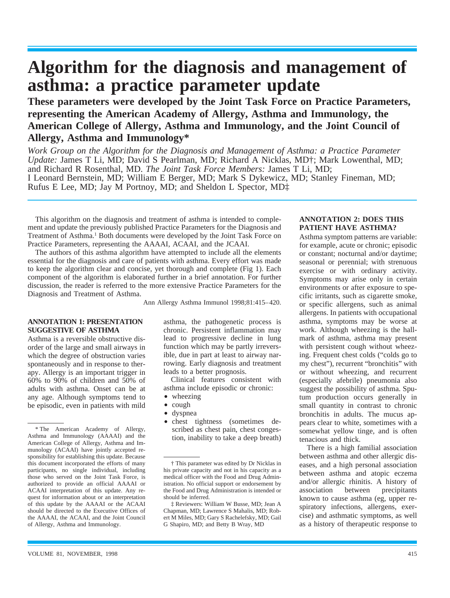# **Algorithm for the diagnosis and management of asthma: a practice parameter update**

**These parameters were developed by the Joint Task Force on Practice Parameters, representing the American Academy of Allergy, Asthma and Immunology, the American College of Allergy, Asthma and Immunology, and the Joint Council of Allergy, Asthma and Immunology\***

*Work Group on the Algorithm for the Diagnosis and Management of Asthma: a Practice Parameter Update:* James T Li, MD; David S Pearlman, MD; Richard A Nicklas, MD†; Mark Lowenthal, MD; and Richard R Rosenthal, MD. *The Joint Task Force Members:* James T Li, MD; I Leonard Bernstein, MD; William E Berger, MD; Mark S Dykewicz, MD; Stanley Fineman, MD; Rufus E Lee, MD; Jay M Portnoy, MD; and Sheldon L Spector, MD‡

This algorithm on the diagnosis and treatment of asthma is intended to complement and update the previously published Practice Parameters for the Diagnosis and Treatment of Asthma.<sup>1</sup> Both documents were developed by the Joint Task Force on Practice Parameters, representing the AAAAI, ACAAI, and the JCAAI.

The authors of this asthma algorithm have attempted to include all the elements essential for the diagnosis and care of patients with asthma. Every effort was made to keep the algorithm clear and concise, yet thorough and complete (Fig 1). Each component of the algorithm is elaborated further in a brief annotation. For further discussion, the reader is referred to the more extensive Practice Parameters for the Diagnosis and Treatment of Asthma.

Ann Allergy Asthma Immunol 1998;81:415–420.

### **ANNOTATION 1: PRESENTATION SUGGESTIVE OF ASTHMA**

Asthma is a reversible obstructive disorder of the large and small airways in which the degree of obstruction varies spontaneously and in response to therapy. Allergy is an important trigger in 60% to 90% of children and 50% of adults with asthma. Onset can be at any age. Although symptoms tend to be episodic, even in patients with mild asthma, the pathogenetic process is chronic. Persistent inflammation may lead to progressive decline in lung function which may be partly irreversible, due in part at least to airway narrowing. Early diagnosis and treatment leads to a better prognosis.

Clinical features consistent with asthma include episodic or chronic:

- wheezing
- cough
- dyspnea
- chest tightness (sometimes described as chest pain, chest congestion, inability to take a deep breath)

#### **ANNOTATION 2: DOES THIS PATIENT HAVE ASTHMA?**

Asthma symptom patterns are variable: for example, acute or chronic; episodic or constant; nocturnal and/or daytime; seasonal or perennial; with strenuous exercise or with ordinary activity. Symptoms may arise only in certain environments or after exposure to specific irritants, such as cigarette smoke, or specific allergens, such as animal allergens. In patients with occupational asthma, symptoms may be worse at work. Although wheezing is the hallmark of asthma, asthma may present with persistent cough without wheezing. Frequent chest colds ("colds go to my chest"), recurrent "bronchitis" with or without wheezing, and recurrent (especially afebrile) pneumonia also suggest the possibility of asthma. Sputum production occurs generally in small quantity in contrast to chronic bronchitis in adults. The mucus appears clear to white, sometimes with a somewhat yellow tinge, and is often tenacious and thick.

There is a high familial association between asthma and other allergic diseases, and a high personal association between asthma and atopic eczema and/or allergic rhinitis. A history of association between precipitants known to cause asthma (eg, upper respiratory infections, allergens, exercise) and asthmatic symptoms, as well as a history of therapeutic response to

<sup>\*</sup> The American Academy of Allergy, Asthma and Immunology (AAAAI) and the American College of Allergy, Asthma and Immunology (ACAAI) have jointly accepted responsibility for establishing this update. Because this document incorporated the efforts of many participants, no single individual, including those who served on the Joint Task Force, is authorized to provide an official AAAAI or ACAAI interpretation of this update. Any request for information about or an interpretation of this update by the AAAAI or the ACAAI should be directed to the Executive Offices of the AAAAI, the ACAAI, and the Joint Council of Allergy, Asthma and Immunology.

<sup>†</sup> This parameter was edited by Dr Nicklas in his private capacity and not in his capacity as a medical officer with the Food and Drug Administration. No official support or endorsement by the Food and Drug Administration is intended or should be inferred.

<sup>‡</sup> Reviewers: William W Busse, MD; Jean A Chapman, MD; Lawrence S Mahalis, MD; Robert M Miles, MD; Gary S Rachelefsky, MD; Gail G Shapiro, MD; and Betty B Wray, MD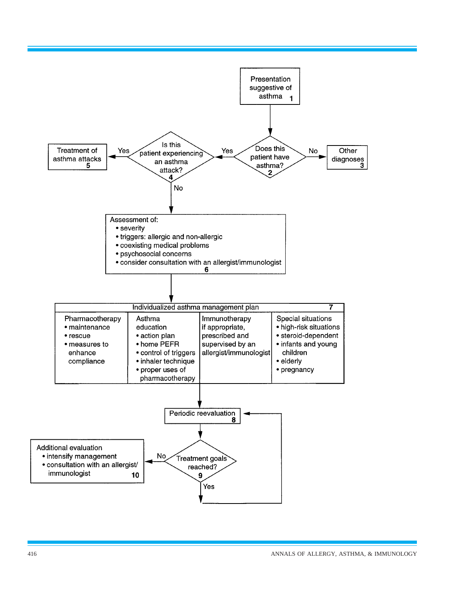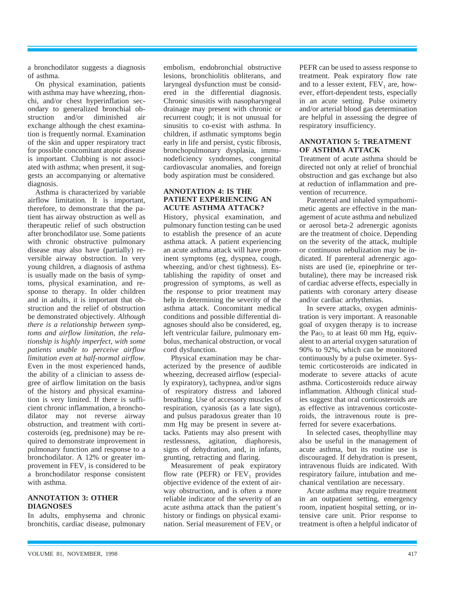a bronchodilator suggests a diagnosis of asthma.

On physical examination, patients with asthma may have wheezing, rhonchi, and/or chest hyperinflation secondary to generalized bronchial obstruction and/or diminished air exchange although the chest examination is frequently normal. Examination of the skin and upper respiratory tract for possible concomitant atopic disease is important. Clubbing is not associated with asthma; when present, it suggests an accompanying or alternative diagnosis.

Asthma is characterized by variable airflow limitation. It is important, therefore, to demonstrate that the patient has airway obstruction as well as therapeutic relief of such obstruction after bronchodilator use. Some patients with chronic obstructive pulmonary disease may also have (partially) reversible airway obstruction. In very young children, a diagnosis of asthma is usually made on the basis of symptoms, physical examination, and response to therapy. In older children and in adults, it is important that obstruction and the relief of obstruction be demonstrated objectively. *Although there is a relationship between symptoms and airflow limitation, the relationship is highly imperfect, with some patients unable to perceive airflow limitation even at half-normal airflow.* Even in the most experienced hands, the ability of a clinician to assess degree of airflow limitation on the basis of the history and physical examination is very limited. If there is sufficient chronic inflammation, a bronchodilator may not reverse airway obstruction, and treatment with corticosteroids (eg, prednisone) may be required to demonstrate improvement in pulmonary function and response to a bronchodilator. A 12% or greater improvement in  $FEV<sub>1</sub>$  is considered to be a bronchodilator response consistent with asthma.

#### **ANNOTATION 3: OTHER DIAGNOSES**

In adults, emphysema and chronic bronchitis, cardiac disease, pulmonary embolism, endobronchial obstructive lesions, bronchiolitis obliterans, and laryngeal dysfunction must be considered in the differential diagnosis. Chronic sinusitis with nasopharyngeal drainage may present with chronic or recurrent cough; it is not unusual for sinusitis to co-exist with asthma. In children, if asthmatic symptoms begin early in life and persist, cystic fibrosis, bronchopulmonary dysplasia, immunodeficiency syndromes, congenital cardiovascular anomalies, and foreign body aspiration must be considered.

#### **ANNOTATION 4: IS THE PATIENT EXPERIENCING AN ACUTE ASTHMA ATTACK?**

History, physical examination, and pulmonary function testing can be used to establish the presence of an acute asthma attack. A patient experiencing an acute asthma attack will have prominent symptoms (eg, dyspnea, cough, wheezing, and/or chest tightness). Establishing the rapidity of onset and progression of symptoms, as well as the response to prior treatment may help in determining the severity of the asthma attack. Concomitant medical conditions and possible differential diagnoses should also be considered, eg, left ventricular failure, pulmonary embolus, mechanical obstruction, or vocal cord dysfunction.

Physical examination may be characterized by the presence of audible wheezing, decreased airflow (especially expiratory), tachypnea, and/or signs of respiratory distress and labored breathing. Use of accessory muscles of respiration, cyanosis (as a late sign), and pulsus paradoxus greater than 10 mm Hg may be present in severe attacks. Patients may also present with restlessness, agitation, diaphoresis, signs of dehydration, and, in infants, grunting, retracting and flaring.

Measurement of peak expiratory flow rate (PEFR) or  $FEV_1$  provides objective evidence of the extent of airway obstruction, and is often a more reliable indicator of the severity of an acute asthma attack than the patient's history or findings on physical examination. Serial measurement of  $FEV<sub>1</sub>$  or

PEFR can be used to assess response to treatment. Peak expiratory flow rate and to a lesser extent,  $FEV<sub>1</sub>$  are, however, effort-dependent tests, especially in an acute setting. Pulse oximetry and/or arterial blood gas determination are helpful in assessing the degree of respiratory insufficiency.

## **ANNOTATION 5: TREATMENT OF ASTHMA ATTACK**

Treatment of acute asthma should be directed not only at relief of bronchial obstruction and gas exchange but also at reduction of inflammation and prevention of recurrence.

Parenteral and inhaled sympathomimetic agents are effective in the management of acute asthma and nebulized or aerosol beta-2 adrenergic agonists are the treatment of choice. Depending on the severity of the attack, multiple or continuous nebulization may be indicated. If parenteral adrenergic agonists are used (ie, epinephrine or terbutaline), there may be increased risk of cardiac adverse effects, especially in patients with coronary artery disease and/or cardiac arrhythmias.

In severe attacks, oxygen administration is very important. A reasonable goal of oxygen therapy is to increase the Pao<sub>2</sub> to at least  $60$  mm Hg, equivalent to an arterial oxygen saturation of 90% to 92%, which can be monitored continuously by a pulse oximeter. Systemic corticosteroids are indicated in moderate to severe attacks of acute asthma. Corticosteroids reduce airway inflammation. Although clinical studies suggest that oral corticosteroids are as effective as intravenous corticosteroids, the intravenous route is preferred for severe exacerbations.

In selected cases, theophylline may also be useful in the management of acute asthma, but its routine use is discouraged. If dehydration is present, intravenous fluids are indicated. With respiratory failure, intubation and mechanical ventilation are necessary.

Acute asthma may require treatment in an outpatient setting, emergency room, inpatient hospital setting, or intensive care unit. Prior response to treatment is often a helpful indicator of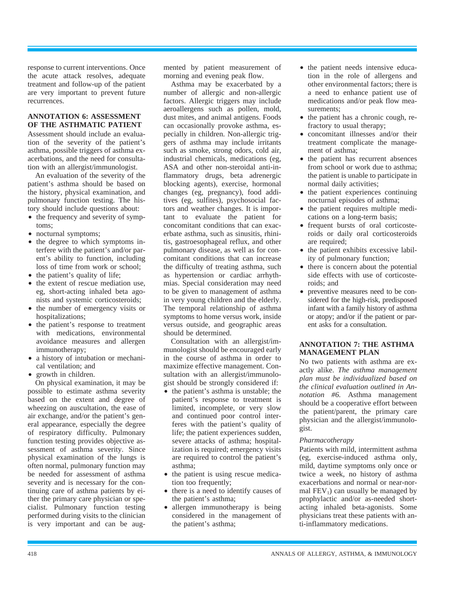response to current interventions. Once the acute attack resolves, adequate treatment and follow-up of the patient are very important to prevent future recurrences.

### **ANNOTATION 6: ASSESSMENT OF THE ASTHMATIC PATIENT**

Assessment should include an evaluation of the severity of the patient's asthma, possible triggers of asthma exacerbations, and the need for consultation with an allergist/immunologist.

An evaluation of the severity of the patient's asthma should be based on the history, physical examination, and pulmonary function testing. The history should include questions about:

- the frequency and severity of symptoms;
- nocturnal symptoms;
- the degree to which symptoms interfere with the patient's and/or parent's ability to function, including loss of time from work or school;
- the patient's quality of life:
- the extent of rescue mediation use, eg, short-acting inhaled beta agonists and systemic corticosteroids;
- the number of emergency visits or hospitalizations;
- the patient's response to treatment with medications, environmental avoidance measures and allergen immunotherapy;
- a history of intubation or mechanical ventilation; and
- growth in children.

On physical examination, it may be possible to estimate asthma severity based on the extent and degree of wheezing on auscultation, the ease of air exchange, and/or the patient's general appearance, especially the degree of respiratory difficulty. Pulmonary function testing provides objective assessment of asthma severity. Since physical examination of the lungs is often normal, pulmonary function may be needed for assessment of asthma severity and is necessary for the continuing care of asthma patients by either the primary care physician or specialist. Pulmonary function testing performed during visits to the clinician is very important and can be augmented by patient measurement of morning and evening peak flow.

Asthma may be exacerbated by a number of allergic and non-allergic factors. Allergic triggers may include aeroallergens such as pollen, mold, dust mites, and animal antigens. Foods can occasionally provoke asthma, especially in children. Non-allergic triggers of asthma may include irritants such as smoke, strong odors, cold air, industrial chemicals, medications (eg, ASA and other non-steroidal anti-inflammatory drugs, beta adrenergic blocking agents), exercise, hormonal changes (eg, pregnancy), food additives (eg, sulfites), psychosocial factors and weather changes. It is important to evaluate the patient for concomitant conditions that can exacerbate asthma, such as sinusitis, rhinitis, gastroesophageal reflux, and other pulmonary disease, as well as for concomitant conditions that can increase the difficulty of treating asthma, such as hypertension or cardiac arrhythmias. Special consideration may need to be given to management of asthma in very young children and the elderly. The temporal relationship of asthma symptoms to home versus work, inside versus outside, and geographic areas should be determined.

Consultation with an allergist/immunologist should be encouraged early in the course of asthma in order to maximize effective management. Consultation with an allergist/immunologist should be strongly considered if:

- the patient's asthma is unstable; the patient's response to treatment is limited, incomplete, or very slow and continued poor control interferes with the patient's quality of life; the patient experiences sudden, severe attacks of asthma; hospitalization is required; emergency visits are required to control the patient's asthma;
- the patient is using rescue medication too frequently;
- there is a need to identify causes of the patient's asthma;
- allergen immunotherapy is being considered in the management of the patient's asthma;
- the patient needs intensive education in the role of allergens and other environmental factors; there is a need to enhance patient use of medications and/or peak flow measurements;
- the patient has a chronic cough, refractory to usual therapy;
- concomitant illnesses and/or their treatment complicate the management of asthma;
- the patient has recurrent absences from school or work due to asthma; the patient is unable to participate in normal daily activities;
- the patient experiences continuing nocturnal episodes of asthma;
- the patient requires multiple medications on a long-term basis;
- frequent bursts of oral corticosteroids or daily oral corticosteroids are required;
- the patient exhibits excessive lability of pulmonary function;
- there is concern about the potential side effects with use of corticosteroids; and
- preventive measures need to be considered for the high-risk, predisposed infant with a family history of asthma or atopy; and/or if the patient or parent asks for a consultation.

## **ANNOTATION 7: THE ASTHMA MANAGEMENT PLAN**

No two patients with asthma are exactly alike. *The asthma management plan must be individualized based on the clinical evaluation outlined in Annotation #6.* Asthma management should be a cooperative effort between the patient/parent, the primary care physician and the allergist/immunologist.

## *Pharmacotherapy*

Patients with mild, intermittent asthma (eg, exercise-induced asthma only, mild, daytime symptoms only once or twice a week, no history of asthma exacerbations and normal or near-normal  $FEV<sub>1</sub>$ ) can usually be managed by prophylactic and/or as-needed shortacting inhaled beta-agonists. Some physicians treat these patients with anti-inflammatory medications.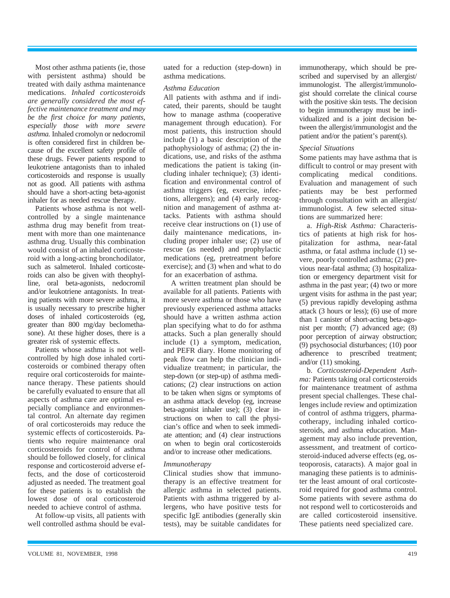Most other asthma patients (ie, those with persistent asthma) should be treated with daily asthma maintenance medications. *Inhaled corticosteroids are generally considered the most effective maintenance treatment and may be the first choice for many patients, especially those with more severe asthma.* Inhaled cromolyn or nedocromil is often considered first in children because of the excellent safety profile of these drugs. Fewer patients respond to leukotriene antagonists than to inhaled corticosteroids and response is usually not as good. All patients with asthma should have a short-acting beta-agonist inhaler for as needed rescue therapy.

Patients whose asthma is not wellcontrolled by a single maintenance asthma drug may benefit from treatment with more than one maintenance asthma drug. Usually this combination would consist of an inhaled corticosteroid with a long-acting bronchodilator, such as salmeterol. Inhaled corticosteroids can also be given with theophylline, oral beta-agonists, nedocromil and/or leukotriene antagonists. In treating patients with more severe asthma, it is usually necessary to prescribe higher doses of inhaled corticosteroids (eg, greater than 800 mg/day beclomethasone). At these higher doses, there is a greater risk of systemic effects.

Patients whose asthma is not wellcontrolled by high dose inhaled corticosteroids or combined therapy often require oral corticosteroids for maintenance therapy. These patients should be carefully evaluated to ensure that all aspects of asthma care are optimal especially compliance and environmental control. An alternate day regimen of oral corticosteroids may reduce the systemic effects of corticosteroids. Patients who require maintenance oral corticosteroids for control of asthma should be followed closely, for clinical response and corticosteroid adverse effects, and the dose of corticosteroid adjusted as needed. The treatment goal for these patients is to establish the lowest dose of oral corticosteroid needed to achieve control of asthma.

At follow-up visits, all patients with well controlled asthma should be evaluated for a reduction (step-down) in asthma medications.

#### *Asthma Education*

All patients with asthma and if indicated, their parents, should be taught how to manage asthma (cooperative management through education). For most patients, this instruction should include (1) a basic description of the pathophysiology of asthma; (2) the indications, use, and risks of the asthma medications the patient is taking (including inhaler technique); (3) identification and environmental control of asthma triggers (eg, exercise, infections, allergens); and (4) early recognition and management of asthma attacks. Patients with asthma should receive clear instructions on (1) use of daily maintenance medications, including proper inhaler use; (2) use of rescue (as needed) and prophylactic medications (eg, pretreatment before exercise); and (3) when and what to do for an exacerbation of asthma.

A written treatment plan should be available for all patients. Patients with more severe asthma or those who have previously experienced asthma attacks should have a written asthma action plan specifying what to do for asthma attacks. Such a plan generally should include (1) a symptom, medication, and PEFR diary. Home monitoring of peak flow can help the clinician individualize treatment; in particular, the step-down (or step-up) of asthma medications; (2) clear instructions on action to be taken when signs or symptoms of an asthma attack develop (eg, increase beta-agonist inhaler use); (3) clear instructions on when to call the physician's office and when to seek immediate attention; and (4) clear instructions on when to begin oral corticosteroids and/or to increase other medications.

#### *Immunotherapy*

Clinical studies show that immunotherapy is an effective treatment for allergic asthma in selected patients. Patients with asthma triggered by allergens, who have positive tests for specific IgE antibodies (generally skin tests), may be suitable candidates for

immunotherapy, which should be prescribed and supervised by an allergist/ immunologist. The allergist/immunologist should correlate the clinical course with the positive skin tests. The decision to begin immunotherapy must be individualized and is a joint decision between the allergist/immunologist and the patient and/or the patient's parent(s).

## *Special Situations*

Some patients may have asthma that is difficult to control or may present with complicating medical conditions. Evaluation and management of such patients may be best performed through consultation with an allergist/ immunologist. A few selected situations are summarized here:

a. *High-Risk Asthma:* Characteristics of patients at high risk for hospitalization for asthma, near-fatal asthma, or fatal asthma include (1) severe, poorly controlled asthma; (2) previous near-fatal asthma; (3) hospitalization or emergency department visit for asthma in the past year; (4) two or more urgent visits for asthma in the past year; (5) previous rapidly developing asthma attack (3 hours or less); (6) use of more than 1 canister of short-acting beta-agonist per month; (7) advanced age; (8) poor perception of airway obstruction; (9) psychosocial disturbances; (10) poor adherence to prescribed treatment; and/or (11) smoking.

b. *Corticosteroid-Dependent Asthma:* Patients taking oral corticosteroids for maintenance treatment of asthma present special challenges. These challenges include review and optimization of control of asthma triggers, pharmacotherapy, including inhaled corticosteroids, and asthma education. Management may also include prevention, assessment, and treatment of corticosteroid-induced adverse effects (eg, osteoporosis, cataracts). A major goal in managing these patients is to administer the least amount of oral corticosteroid required for good asthma control. Some patients with severe asthma do not respond well to corticosteroids and are called corticosteroid insensitive. These patients need specialized care.